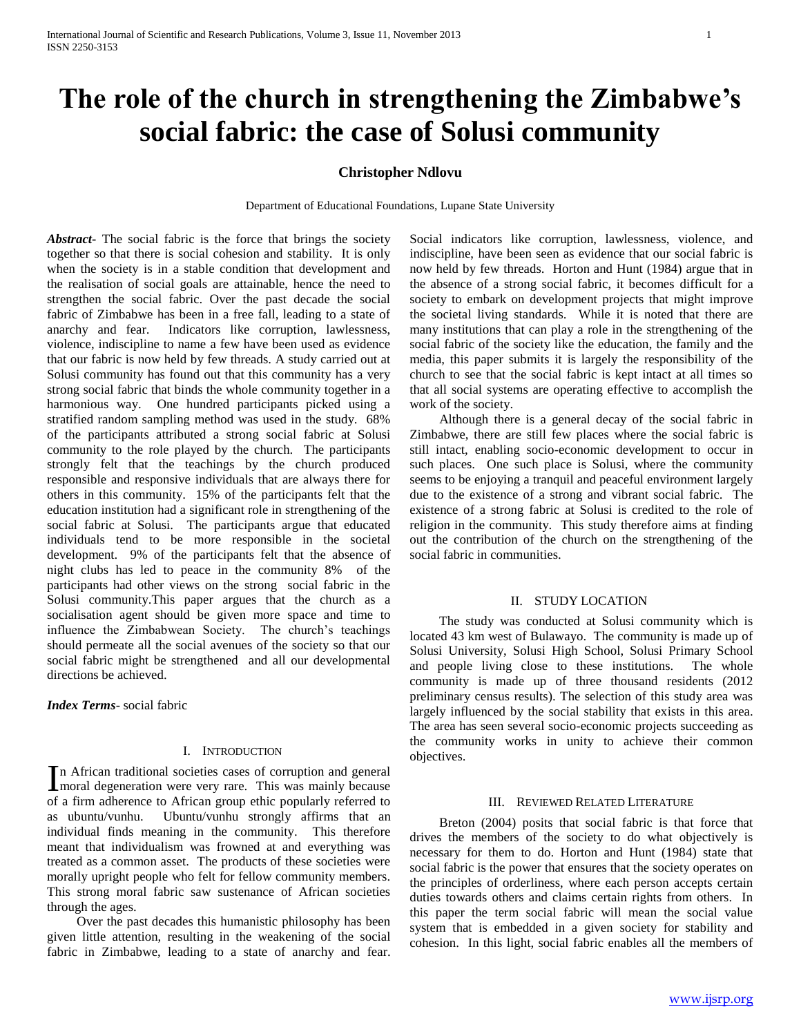# **The role of the church in strengthening the Zimbabwe's social fabric: the case of Solusi community**

# **Christopher Ndlovu**

Department of Educational Foundations, Lupane State University

*Abstract***-** The social fabric is the force that brings the society together so that there is social cohesion and stability. It is only when the society is in a stable condition that development and the realisation of social goals are attainable, hence the need to strengthen the social fabric. Over the past decade the social fabric of Zimbabwe has been in a free fall, leading to a state of anarchy and fear. Indicators like corruption, lawlessness, violence, indiscipline to name a few have been used as evidence that our fabric is now held by few threads. A study carried out at Solusi community has found out that this community has a very strong social fabric that binds the whole community together in a harmonious way. One hundred participants picked using a stratified random sampling method was used in the study. 68% of the participants attributed a strong social fabric at Solusi community to the role played by the church. The participants strongly felt that the teachings by the church produced responsible and responsive individuals that are always there for others in this community. 15% of the participants felt that the education institution had a significant role in strengthening of the social fabric at Solusi. The participants argue that educated individuals tend to be more responsible in the societal development. 9% of the participants felt that the absence of night clubs has led to peace in the community 8% of the participants had other views on the strong social fabric in the Solusi community.This paper argues that the church as a socialisation agent should be given more space and time to influence the Zimbabwean Society. The church's teachings should permeate all the social avenues of the society so that our social fabric might be strengthened and all our developmental directions be achieved.

*Index Terms*- social fabric

## I. INTRODUCTION

n African traditional societies cases of corruption and general In African traditional societies cases of corruption and general moral degeneration were very rare. This was mainly because of a firm adherence to African group ethic popularly referred to as ubuntu/vunhu. Ubuntu/vunhu strongly affirms that an individual finds meaning in the community. This therefore meant that individualism was frowned at and everything was treated as a common asset. The products of these societies were morally upright people who felt for fellow community members. This strong moral fabric saw sustenance of African societies through the ages.

 Over the past decades this humanistic philosophy has been given little attention, resulting in the weakening of the social fabric in Zimbabwe, leading to a state of anarchy and fear. Social indicators like corruption, lawlessness, violence, and indiscipline, have been seen as evidence that our social fabric is now held by few threads. Horton and Hunt (1984) argue that in the absence of a strong social fabric, it becomes difficult for a society to embark on development projects that might improve the societal living standards. While it is noted that there are many institutions that can play a role in the strengthening of the social fabric of the society like the education, the family and the media, this paper submits it is largely the responsibility of the church to see that the social fabric is kept intact at all times so that all social systems are operating effective to accomplish the work of the society.

 Although there is a general decay of the social fabric in Zimbabwe, there are still few places where the social fabric is still intact, enabling socio-economic development to occur in such places. One such place is Solusi, where the community seems to be enjoying a tranquil and peaceful environment largely due to the existence of a strong and vibrant social fabric. The existence of a strong fabric at Solusi is credited to the role of religion in the community. This study therefore aims at finding out the contribution of the church on the strengthening of the social fabric in communities.

#### II. STUDY LOCATION

 The study was conducted at Solusi community which is located 43 km west of Bulawayo. The community is made up of Solusi University, Solusi High School, Solusi Primary School and people living close to these institutions. The whole community is made up of three thousand residents (2012 preliminary census results). The selection of this study area was largely influenced by the social stability that exists in this area. The area has seen several socio-economic projects succeeding as the community works in unity to achieve their common objectives.

#### III. REVIEWED RELATED LITERATURE

 Breton (2004) posits that social fabric is that force that drives the members of the society to do what objectively is necessary for them to do. Horton and Hunt (1984) state that social fabric is the power that ensures that the society operates on the principles of orderliness, where each person accepts certain duties towards others and claims certain rights from others. In this paper the term social fabric will mean the social value system that is embedded in a given society for stability and cohesion. In this light, social fabric enables all the members of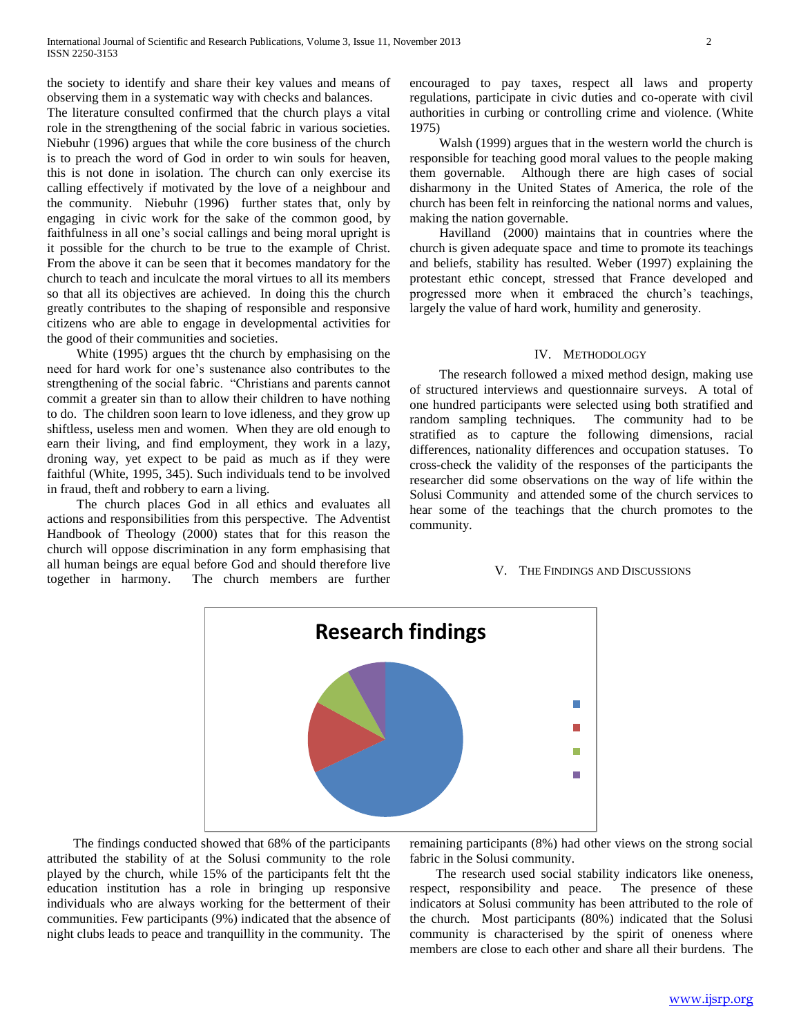the society to identify and share their key values and means of observing them in a systematic way with checks and balances.

The literature consulted confirmed that the church plays a vital role in the strengthening of the social fabric in various societies. Niebuhr (1996) argues that while the core business of the church is to preach the word of God in order to win souls for heaven, this is not done in isolation. The church can only exercise its calling effectively if motivated by the love of a neighbour and the community. Niebuhr (1996) further states that, only by engaging in civic work for the sake of the common good, by faithfulness in all one's social callings and being moral upright is it possible for the church to be true to the example of Christ. From the above it can be seen that it becomes mandatory for the church to teach and inculcate the moral virtues to all its members so that all its objectives are achieved. In doing this the church greatly contributes to the shaping of responsible and responsive citizens who are able to engage in developmental activities for the good of their communities and societies.

 White (1995) argues tht the church by emphasising on the need for hard work for one's sustenance also contributes to the strengthening of the social fabric. "Christians and parents cannot commit a greater sin than to allow their children to have nothing to do. The children soon learn to love idleness, and they grow up shiftless, useless men and women. When they are old enough to earn their living, and find employment, they work in a lazy, droning way, yet expect to be paid as much as if they were faithful (White, 1995, 345). Such individuals tend to be involved in fraud, theft and robbery to earn a living.

 The church places God in all ethics and evaluates all actions and responsibilities from this perspective. The Adventist Handbook of Theology (2000) states that for this reason the church will oppose discrimination in any form emphasising that all human beings are equal before God and should therefore live together in harmony. The church members are further

encouraged to pay taxes, respect all laws and property regulations, participate in civic duties and co-operate with civil authorities in curbing or controlling crime and violence. (White 1975)

 Walsh (1999) argues that in the western world the church is responsible for teaching good moral values to the people making them governable. Although there are high cases of social disharmony in the United States of America, the role of the church has been felt in reinforcing the national norms and values, making the nation governable.

 Havilland (2000) maintains that in countries where the church is given adequate space and time to promote its teachings and beliefs, stability has resulted. Weber (1997) explaining the protestant ethic concept, stressed that France developed and progressed more when it embraced the church's teachings, largely the value of hard work, humility and generosity.

#### IV. METHODOLOGY

 The research followed a mixed method design, making use of structured interviews and questionnaire surveys. A total of one hundred participants were selected using both stratified and random sampling techniques. The community had to be stratified as to capture the following dimensions, racial differences, nationality differences and occupation statuses. To cross-check the validity of the responses of the participants the researcher did some observations on the way of life within the Solusi Community and attended some of the church services to hear some of the teachings that the church promotes to the community.

## V. THE FINDINGS AND DISCUSSIONS



 The findings conducted showed that 68% of the participants attributed the stability of at the Solusi community to the role played by the church, while 15% of the participants felt tht the education institution has a role in bringing up responsive individuals who are always working for the betterment of their communities. Few participants (9%) indicated that the absence of night clubs leads to peace and tranquillity in the community. The

remaining participants (8%) had other views on the strong social fabric in the Solusi community.

 The research used social stability indicators like oneness, respect, responsibility and peace. The presence of these indicators at Solusi community has been attributed to the role of the church. Most participants (80%) indicated that the Solusi community is characterised by the spirit of oneness where members are close to each other and share all their burdens. The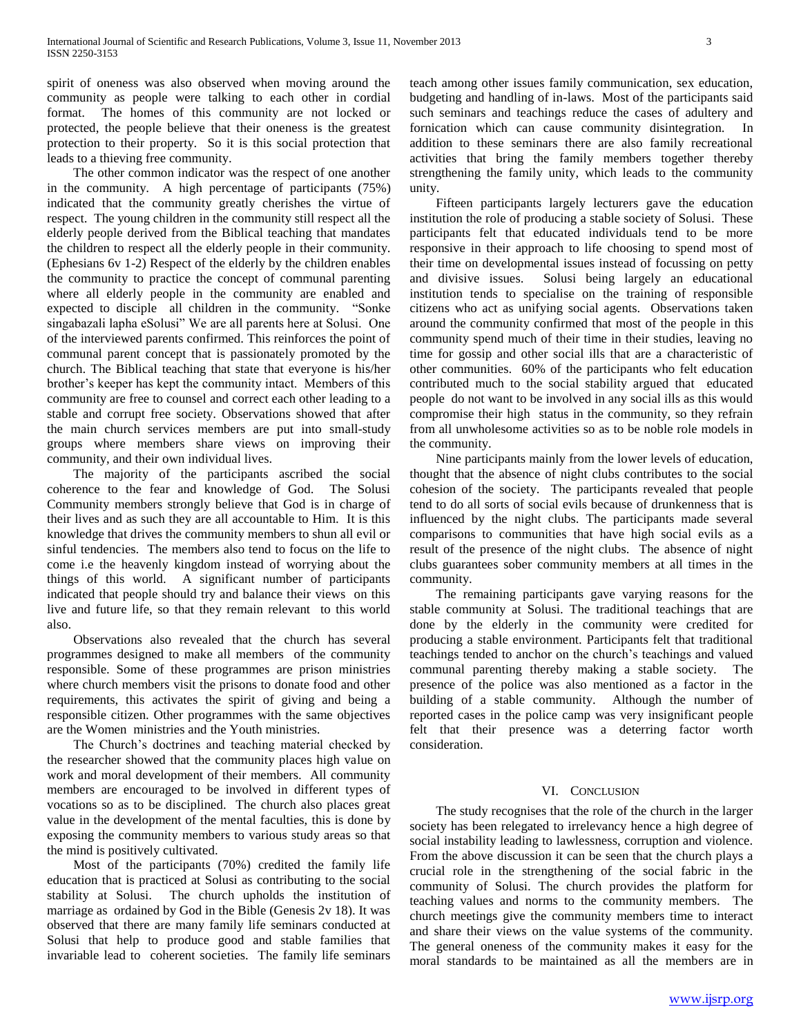spirit of oneness was also observed when moving around the community as people were talking to each other in cordial format. The homes of this community are not locked or protected, the people believe that their oneness is the greatest protection to their property. So it is this social protection that leads to a thieving free community.

 The other common indicator was the respect of one another in the community. A high percentage of participants (75%) indicated that the community greatly cherishes the virtue of respect. The young children in the community still respect all the elderly people derived from the Biblical teaching that mandates the children to respect all the elderly people in their community. (Ephesians 6v 1-2) Respect of the elderly by the children enables the community to practice the concept of communal parenting where all elderly people in the community are enabled and expected to disciple all children in the community. "Sonke singabazali lapha eSolusi" We are all parents here at Solusi. One of the interviewed parents confirmed. This reinforces the point of communal parent concept that is passionately promoted by the church. The Biblical teaching that state that everyone is his/her brother's keeper has kept the community intact. Members of this community are free to counsel and correct each other leading to a stable and corrupt free society. Observations showed that after the main church services members are put into small-study groups where members share views on improving their community, and their own individual lives.

 The majority of the participants ascribed the social coherence to the fear and knowledge of God. The Solusi Community members strongly believe that God is in charge of their lives and as such they are all accountable to Him. It is this knowledge that drives the community members to shun all evil or sinful tendencies. The members also tend to focus on the life to come i.e the heavenly kingdom instead of worrying about the things of this world. A significant number of participants indicated that people should try and balance their views on this live and future life, so that they remain relevant to this world also.

 Observations also revealed that the church has several programmes designed to make all members of the community responsible. Some of these programmes are prison ministries where church members visit the prisons to donate food and other requirements, this activates the spirit of giving and being a responsible citizen. Other programmes with the same objectives are the Women ministries and the Youth ministries.

 The Church's doctrines and teaching material checked by the researcher showed that the community places high value on work and moral development of their members. All community members are encouraged to be involved in different types of vocations so as to be disciplined. The church also places great value in the development of the mental faculties, this is done by exposing the community members to various study areas so that the mind is positively cultivated.

 Most of the participants (70%) credited the family life education that is practiced at Solusi as contributing to the social stability at Solusi. The church upholds the institution of marriage as ordained by God in the Bible (Genesis 2v 18). It was observed that there are many family life seminars conducted at Solusi that help to produce good and stable families that invariable lead to coherent societies. The family life seminars teach among other issues family communication, sex education, budgeting and handling of in-laws. Most of the participants said such seminars and teachings reduce the cases of adultery and fornication which can cause community disintegration. In addition to these seminars there are also family recreational activities that bring the family members together thereby strengthening the family unity, which leads to the community unity.

 Fifteen participants largely lecturers gave the education institution the role of producing a stable society of Solusi. These participants felt that educated individuals tend to be more responsive in their approach to life choosing to spend most of their time on developmental issues instead of focussing on petty and divisive issues. Solusi being largely an educational institution tends to specialise on the training of responsible citizens who act as unifying social agents. Observations taken around the community confirmed that most of the people in this community spend much of their time in their studies, leaving no time for gossip and other social ills that are a characteristic of other communities. 60% of the participants who felt education contributed much to the social stability argued that educated people do not want to be involved in any social ills as this would compromise their high status in the community, so they refrain from all unwholesome activities so as to be noble role models in the community.

 Nine participants mainly from the lower levels of education, thought that the absence of night clubs contributes to the social cohesion of the society. The participants revealed that people tend to do all sorts of social evils because of drunkenness that is influenced by the night clubs. The participants made several comparisons to communities that have high social evils as a result of the presence of the night clubs. The absence of night clubs guarantees sober community members at all times in the community.

 The remaining participants gave varying reasons for the stable community at Solusi. The traditional teachings that are done by the elderly in the community were credited for producing a stable environment. Participants felt that traditional teachings tended to anchor on the church's teachings and valued communal parenting thereby making a stable society. The presence of the police was also mentioned as a factor in the building of a stable community. Although the number of reported cases in the police camp was very insignificant people felt that their presence was a deterring factor worth consideration.

## VI. CONCLUSION

 The study recognises that the role of the church in the larger society has been relegated to irrelevancy hence a high degree of social instability leading to lawlessness, corruption and violence. From the above discussion it can be seen that the church plays a crucial role in the strengthening of the social fabric in the community of Solusi. The church provides the platform for teaching values and norms to the community members. The church meetings give the community members time to interact and share their views on the value systems of the community. The general oneness of the community makes it easy for the moral standards to be maintained as all the members are in